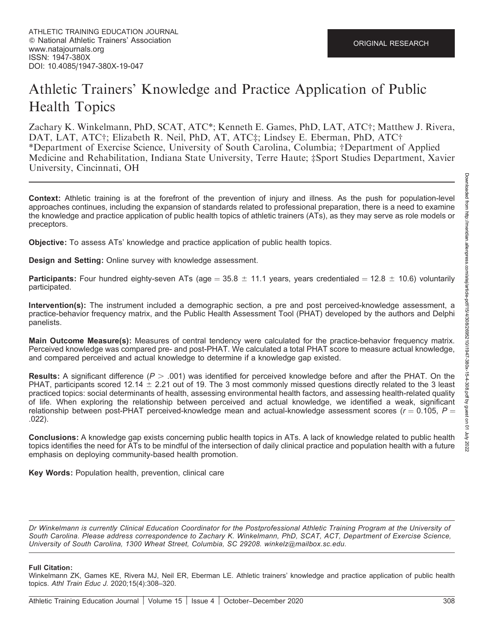# Athletic Trainers' Knowledge and Practice Application of Public Health Topics

Zachary K. Winkelmann, PhD, SCAT, ATC\*; Kenneth E. Games, PhD, LAT, ATC†; Matthew J. Rivera, DAT, LAT, ATC†; Elizabeth R. Neil, PhD, AT, ATC‡; Lindsey E. Eberman, PhD, ATC† \*Department of Exercise Science, University of South Carolina, Columbia; †Department of Applied Medicine and Rehabilitation, Indiana State University, Terre Haute; ‡Sport Studies Department, Xavier University, Cincinnati, OH

Context: Athletic training is at the forefront of the prevention of injury and illness. As the push for population-level approaches continues, including the expansion of standards related to professional preparation, there is a need to examine the knowledge and practice application of public health topics of athletic trainers (ATs), as they may serve as role models or preceptors.

Objective: To assess ATs' knowledge and practice application of public health topics.

Design and Setting: Online survey with knowledge assessment.

**Participants:** Four hundred eighty-seven ATs (age = 35.8  $\pm$  11.1 years, years credentialed = 12.8  $\pm$  10.6) voluntarily participated.

Intervention(s): The instrument included a demographic section, a pre and post perceived-knowledge assessment, a practice-behavior frequency matrix, and the Public Health Assessment Tool (PHAT) developed by the authors and Delphi panelists.

Main Outcome Measure(s): Measures of central tendency were calculated for the practice-behavior frequency matrix. Perceived knowledge was compared pre- and post-PHAT. We calculated a total PHAT score to measure actual knowledge, and compared perceived and actual knowledge to determine if a knowledge gap existed.

**Results:** A significant difference ( $P > .001$ ) was identified for perceived knowledge before and after the PHAT. On the PHAT, participants scored 12.14  $\pm$  2.21 out of 19. The 3 most commonly missed questions directly related to the 3 least practiced topics: social determinants of health, assessing environmental health factors, and assessing health-related quality of life. When exploring the relationship between perceived and actual knowledge, we identified a weak, significant relationship between post-PHAT perceived-knowledge mean and actual-knowledge assessment scores ( $r = 0.105$ ,  $P =$ .022).

Conclusions: A knowledge gap exists concerning public health topics in ATs. A lack of knowledge related to public health topics identifies the need for ATs to be mindful of the intersection of daily clinical practice and population health with a future emphasis on deploying community-based health promotion.

Key Words: Population health, prevention, clinical care

Dr Winkelmann is currently Clinical Education Coordinator for the Postprofessional Athletic Training Program at the University of South Carolina. Please address correspondence to Zachary K. Winkelmann, PhD, SCAT, ACT, Department of Exercise Science, University of South Carolina, 1300 Wheat Street, Columbia, SC 29208. winkelz@mailbox.sc.edu.

#### Full Citation:

Winkelmann ZK, Games KE, Rivera MJ, Neil ER, Eberman LE. Athletic trainers' knowledge and practice application of public health topics. Athl Train Educ J. 2020;15(4):308–320.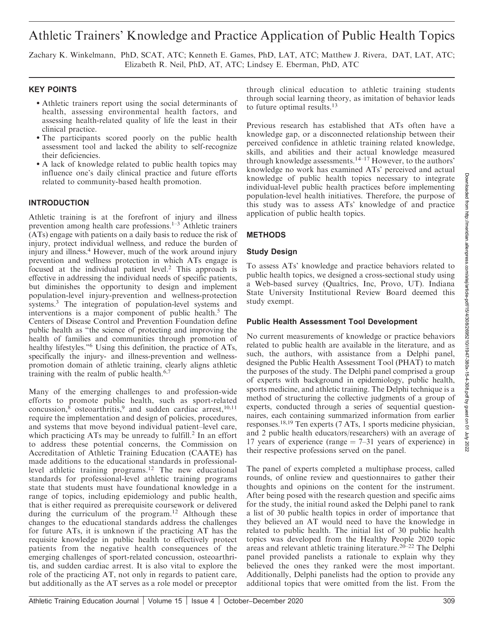## Athletic Trainers' Knowledge and Practice Application of Public Health Topics

Zachary K. Winkelmann, PhD, SCAT, ATC; Kenneth E. Games, PhD, LAT, ATC; Matthew J. Rivera, DAT, LAT, ATC; Elizabeth R. Neil, PhD, AT, ATC; Lindsey E. Eberman, PhD, ATC

#### KEY POINTS

- Athletic trainers report using the social determinants of health, assessing environmental health factors, and assessing health-related quality of life the least in their clinical practice.
- The participants scored poorly on the public health assessment tool and lacked the ability to self-recognize their deficiencies.
- A lack of knowledge related to public health topics may influence one's daily clinical practice and future efforts related to community-based health promotion.

#### INTRODUCTION

Athletic training is at the forefront of injury and illness prevention among health care professions.<sup>1–3</sup> Athletic trainers (ATs) engage with patients on a daily basis to reduce the risk of injury, protect individual wellness, and reduce the burden of injury and illness.<sup>4</sup> However, much of the work around injury prevention and wellness protection in which ATs engage is focused at the individual patient level.2 This approach is effective in addressing the individual needs of specific patients, but diminishes the opportunity to design and implement population-level injury-prevention and wellness-protection systems.3 The integration of population-level systems and interventions is a major component of public health.<sup>5</sup> The Centers of Disease Control and Prevention Foundation define public health as ''the science of protecting and improving the health of families and communities through promotion of healthy lifestyles."<sup>6</sup> Using this definition, the practice of ATs, specifically the injury- and illness-prevention and wellnesspromotion domain of athletic training, clearly aligns athletic training with the realm of public health.<sup>6,7</sup>

Many of the emerging challenges to and profession-wide efforts to promote public health, such as sport-related concussion, $\delta$  osteoarthritis,<sup>9</sup> and sudden cardiac arrest,<sup>10,11</sup> require the implementation and design of policies, procedures, and systems that move beyond individual patient–level care, which practicing  $ATs$  may be unready to fulfill.<sup>2</sup> In an effort to address these potential concerns, the Commission on Accreditation of Athletic Training Education (CAATE) has made additions to the educational standards in professionallevel athletic training programs.<sup>12</sup> The new educational standards for professional-level athletic training programs state that students must have foundational knowledge in a range of topics, including epidemiology and public health, that is either required as prerequisite coursework or delivered during the curriculum of the program.<sup>12</sup> Although these changes to the educational standards address the challenges for future ATs, it is unknown if the practicing AT has the requisite knowledge in public health to effectively protect patients from the negative health consequences of the emerging challenges of sport-related concussion, osteoarthritis, and sudden cardiac arrest. It is also vital to explore the role of the practicing AT, not only in regards to patient care, but additionally as the AT serves as a role model or preceptor

through clinical education to athletic training students through social learning theory, as imitation of behavior leads to future optimal results.<sup>13</sup>

Previous research has established that ATs often have a knowledge gap, or a disconnected relationship between their perceived confidence in athletic training related knowledge, skills, and abilities and their actual knowledge measured through knowledge assessments.14–17 However, to the authors' knowledge no work has examined ATs' perceived and actual knowledge of public health topics necessary to integrate individual-level public health practices before implementing population-level health initiatives. Therefore, the purpose of this study was to assess ATs' knowledge of and practice application of public health topics.

## METHODS

## Study Design

To assess ATs' knowledge and practice behaviors related to public health topics, we designed a cross-sectional study using a Web-based survey (Qualtrics, Inc, Provo, UT). Indiana State University Institutional Review Board deemed this study exempt.

## Public Health Assessment Tool Development

No current measurements of knowledge or practice behaviors related to public health are available in the literature, and as such, the authors, with assistance from a Delphi panel, designed the Public Health Assessment Tool (PHAT) to match the purposes of the study. The Delphi panel comprised a group of experts with background in epidemiology, public health, sports medicine, and athletic training. The Delphi technique is a method of structuring the collective judgments of a group of experts, conducted through a series of sequential questionnaires, each containing summarized information from earlier responses.18,19 Ten experts (7 ATs, 1 sports medicine physician, and 2 public health educators/researchers) with an average of 17 years of experience (range  $= 7-31$  years of experience) in their respective professions served on the panel.

The panel of experts completed a multiphase process, called rounds, of online review and questionnaires to gather their thoughts and opinions on the content for the instrument. After being posed with the research question and specific aims for the study, the initial round asked the Delphi panel to rank a list of 30 public health topics in order of importance that they believed an AT would need to have the knowledge in related to public health. The initial list of 30 public health topics was developed from the Healthy People 2020 topic areas and relevant athletic training literature.20–22 The Delphi panel provided panelists a rationale to explain why they believed the ones they ranked were the most important. Additionally, Delphi panelists had the option to provide any additional topics that were omitted from the list. From the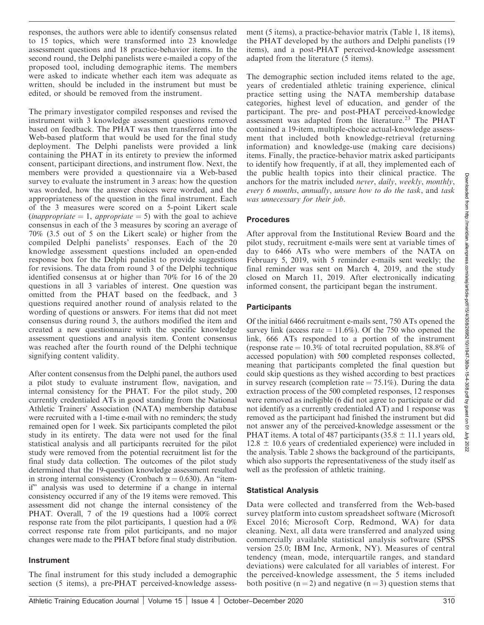responses, the authors were able to identify consensus related to 15 topics, which were transformed into 23 knowledge assessment questions and 18 practice-behavior items. In the second round, the Delphi panelists were e-mailed a copy of the proposed tool, including demographic items. The members were asked to indicate whether each item was adequate as written, should be included in the instrument but must be edited, or should be removed from the instrument.

The primary investigator compiled responses and revised the instrument with 3 knowledge assessment questions removed based on feedback. The PHAT was then transferred into the Web-based platform that would be used for the final study deployment. The Delphi panelists were provided a link containing the PHAT in its entirety to preview the informed consent, participant directions, and instrument flow. Next, the members were provided a questionnaire via a Web-based survey to evaluate the instrument in 3 areas: how the question was worded, how the answer choices were worded, and the appropriateness of the question in the final instrument. Each of the 3 measures were scored on a 5-point Likert scale (*inappropriate*  $= 1$ , *appropriate*  $= 5$ ) with the goal to achieve consensus in each of the 3 measures by scoring an average of 70% (3.5 out of 5 on the Likert scale) or higher from the compiled Delphi panelists' responses. Each of the 20 knowledge assessment questions included an open-ended response box for the Delphi panelist to provide suggestions for revisions. The data from round 3 of the Delphi technique identified consensus at or higher than 70% for 16 of the 20 questions in all 3 variables of interest. One question was omitted from the PHAT based on the feedback, and 3 questions required another round of analysis related to the wording of questions or answers. For items that did not meet consensus during round 3, the authors modified the item and created a new questionnaire with the specific knowledge assessment questions and analysis item. Content consensus was reached after the fourth round of the Delphi technique signifying content validity.

After content consensus from the Delphi panel, the authors used a pilot study to evaluate instrument flow, navigation, and internal consistency for the PHAT. For the pilot study, 200 currently credentialed ATs in good standing from the National Athletic Trainers' Association (NATA) membership database were recruited with a 1-time e-mail with no reminders; the study remained open for 1 week. Six participants completed the pilot study in its entirety. The data were not used for the final statistical analysis and all participants recruited for the pilot study were removed from the potential recruitment list for the final study data collection. The outcomes of the pilot study determined that the 19-question knowledge assessment resulted in strong internal consistency (Cronbach  $\alpha = 0.630$ ). An "itemif'' analysis was used to determine if a change in internal consistency occurred if any of the 19 items were removed. This assessment did not change the internal consistency of the PHAT. Overall, 7 of the 19 questions had a 100% correct response rate from the pilot participants, 1 question had a 0% correct response rate from pilot participants, and no major changes were made to the PHAT before final study distribution.

#### Instrument

The final instrument for this study included a demographic section (5 items), a pre-PHAT perceived-knowledge assessment (5 items), a practice-behavior matrix (Table 1, 18 items), the PHAT developed by the authors and Delphi panelists (19 items), and a post-PHAT perceived-knowledge assessment adapted from the literature (5 items).

The demographic section included items related to the age, years of credentialed athletic training experience, clinical practice setting using the NATA membership database categories, highest level of education, and gender of the participant. The pre- and post-PHAT perceived-knowledge assessment was adapted from the literature.<sup>23</sup> The PHAT contained a 19-item, multiple-choice actual-knowledge assessment that included both knowledge-retrieval (returning information) and knowledge-use (making care decisions) items. Finally, the practice-behavior matrix asked participants to identify how frequently, if at all, they implemented each of the public health topics into their clinical practice. The anchors for the matrix included never, daily, weekly, monthly, every 6 months, annually, unsure how to do the task, and task was unnecessary for their job.

## Procedures

After approval from the Institutional Review Board and the pilot study, recruitment e-mails were sent at variable times of day to 6466 ATs who were members of the NATA on February 5, 2019, with 5 reminder e-mails sent weekly; the final reminder was sent on March 4, 2019, and the study closed on March 11, 2019. After electronically indicating informed consent, the participant began the instrument.

## **Participants**

Of the initial 6466 recruitment e-mails sent, 750 ATs opened the survey link (access rate  $= 11.6\%$ ). Of the 750 who opened the link, 666 ATs responded to a portion of the instrument (response rate  $= 10.3\%$  of total recruited population, 88.8% of accessed population) with 500 completed responses collected, meaning that participants completed the final question but could skip questions as they wished according to best practices in survey research (completion rate  $= 75.1\%$ ). During the data extraction process of the 500 completed responses, 12 responses were removed as ineligible (6 did not agree to participate or did not identify as a currently credentialed AT) and 1 response was removed as the participant had finished the instrument but did not answer any of the perceived-knowledge assessment or the PHAT items. A total of 487 participants (35.8  $\pm$  11.1 years old,  $12.8 \pm 10.6$  years of credentialed experience) were included in the analysis. Table 2 shows the background of the participants, which also supports the representativeness of the study itself as well as the profession of athletic training.

## Statistical Analysis

Data were collected and transferred from the Web-based survey platform into custom spreadsheet software (Microsoft Excel 2016; Microsoft Corp, Redmond, WA) for data cleaning. Next, all data were transferred and analyzed using commercially available statistical analysis software (SPSS version 25.0; IBM Inc, Armonk, NY). Measures of central tendency (mean, mode, interquartile ranges, and standard deviations) were calculated for all variables of interest. For the perceived-knowledge assessment, the 5 items included both positive  $(n = 2)$  and negative  $(n = 3)$  question stems that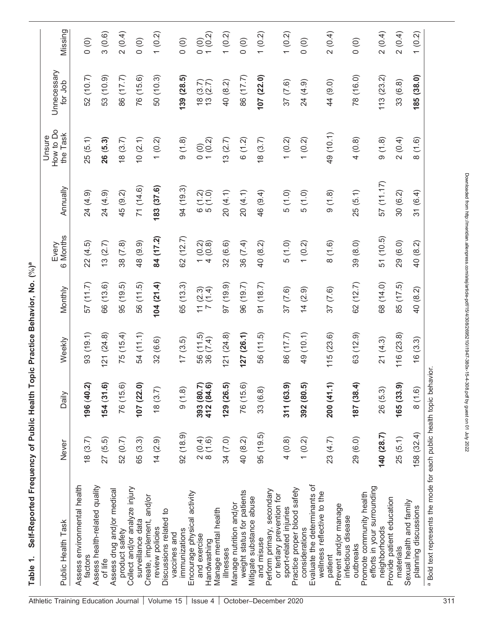| Public Health Task                                                             | Never                | Daily                    | Weekly                | Monthly                              | Every<br>6 Months                                                   | Annually             | How to Do<br>the Task<br>Unsure | Unnecessary<br>for Job                                  | Missing                                             |
|--------------------------------------------------------------------------------|----------------------|--------------------------|-----------------------|--------------------------------------|---------------------------------------------------------------------|----------------------|---------------------------------|---------------------------------------------------------|-----------------------------------------------------|
| Assess environmental health<br>factors                                         | 18(3.7)              | 196 (40.2)               | 93 (19.1)             | 57 (11.7)                            | 22(4.5)                                                             | 24 (4.9)             | 25(5.1)                         | 52 (10.7)                                               | $\circ$                                             |
| Assess health-related quality<br>of life                                       | 27(5.5)              | 154(31.6)                | 121(24.8)             | 66 (13.6)                            | 13(2.7)                                                             | 24 (4.9)             | 26(5.3)                         | 53 (10.9)                                               | 3(0.6)                                              |
| Assess drug and/or medical<br>product safety                                   | 52 (0.7)             | 76 (15.6)                | 75 (15.4)             | 95(19.5)                             | 38(7.8)                                                             | 45 (9.2)             | 18(3.7)                         | 86 (17.7)                                               | 2(0.4)                                              |
| Collect and/or analyze injury<br>surveillance data                             | 65 (3.3)             | 107 (22.0)               | 54 (11.1)             | 56 (11.5)                            | 48 (9.9)                                                            | 71 (14.6)            | 10(2.1)                         | 76 (15.6)                                               | (0)                                                 |
| Create, implement, and/or<br>Discussions related to<br>review policies         | 14(2.9)              | 18(3.7)                  | 32(6.6)               | 104(21.4)                            | 84 (17.2)                                                           | 183 (37.6)           | 1(0.2)                          | 50 (10.3)                                               | 1(0.2)                                              |
| immunizations<br>vaccines and                                                  | 92(18.9)             | 9(1.8)                   | 17(3.5)               | 65 (13.3)                            | 62 (12.7)                                                           | 94 (19.3)            | 9(1.8)                          | 139 (28.5)                                              | (0)                                                 |
| Encourage physical activity<br>and exercise<br>Handwashing                     | $2(0.4)$<br>$8(1.6)$ | 393 (80.7)<br>412 (84.6) | 56 (11.5)<br>36 (7.4) | $\frac{11}{7}$ $\frac{(2.3)}{(1.4)}$ | $\begin{pmatrix} 1 & 0 & 2 \\ 0 & 0 & 0 \\ 4 & 0 & 0 \end{pmatrix}$ | $6(1.2)$<br>$5(1.0)$ | 0(0, 2)                         | $\begin{array}{c} 18 & (3.7) \\ 13 & (2.7) \end{array}$ | $\begin{array}{c} 0 & (0) \\ 1 & (0.2) \end{array}$ |
| Manage mental health<br>illnesses                                              | 34 (7.0)             | 129 (26.5)               | 121(24.8)             | 97(19.9)                             | 32(6.6)                                                             | 20(4.1)              | 13(2.7)                         | 40 (8.2)                                                | (0.2)                                               |
| weight status for patients<br>Manage nutrition and/or                          | 40 (8.2)             | 76 (15.6)                | 127 (26.1)            | 96 (19.7)                            | 36(7.4)                                                             | 20(4.1)              | 6(1.2)                          | 86 (17.7)                                               | $\circ$                                             |
| Perform primary, secondary<br>Mitigate substance abuse<br>and misuse           | 95(19.5)             | 33 (6.8)                 | 56 (11.5)             | 91(18.7)                             | 40 (8.2)                                                            | 46 (9.4)             | 18(3.7)                         | 107(22.0)                                               | 1(0.2)                                              |
| or tertiary prevention for<br>sport-related injuries                           | 4(0.8)               | 311 (63.9)               | 86 (17.7)             | 37(7.6)                              | 5(1.0)                                                              | 5(1.0)               | (0.2)                           | 37 (7.6)                                                | 1(0.2)                                              |
| Evaluate the determinants of<br>Practice proper blood safety<br>considerations | 1(0.2)               | 392 (80.5)               | 49 (10.1)             | 14(2.9)                              | 1(0.2)                                                              | 5(1.0)               | 1(0.2)                          | 24 (4.9)                                                | $\circ$                                             |
| wellness reflective to the<br>Prevent and/or manage<br>patient                 | 23 (4.7)             | 200 (41.1)               | 115(23.6)             | 37(7.6)                              | 8(1.6)                                                              | 9(1.8)               | 49 (10.1)                       | 44 (9.0)                                                | 2(0.4)                                              |
| Promote community health<br>infectious disease<br>outbreaks                    | 29 (6.0)             | 187 (38.4)               | 63 (12.9)             | 62(12.7)                             | 39 (8.0)                                                            | 25(5.1)              | 4(0.8)                          | 78 (16.0)                                               | $\circ$                                             |
| efforts in your surrounding<br>Provide patient education<br>neighborhoods      | 140(28.7)            | 26 (5.3)                 | 21(4.3)               | 68 (14.0)                            | 51 (10.5)                                                           | 57 (11.17)           | 9(1.8)                          | 113(23.2)                                               | 2(0.4)                                              |
| Sexual health and family<br>materials                                          | 25(5.1)              | 165(33.9)                | 116(23.8)             | 85 (17.5)                            | 29 (6.0)                                                            | 30(6.2)              | 2(0.4)                          | 33(6.8)                                                 | 2(0.4)                                              |
| planning discussions                                                           | 158 (32.4)           | 8(1.6)                   | 16(3.3)               | 40 (8.2)                             | 40 (8.2)                                                            | 31(6.4)              | 8(1.6)                          | 185(38.0)                                               | 1(0.2)                                              |
| a Bold text represents the mode for each public health topic behavior.         |                      |                          |                       |                                      |                                                                     |                      |                                 |                                                         |                                                     |

%) a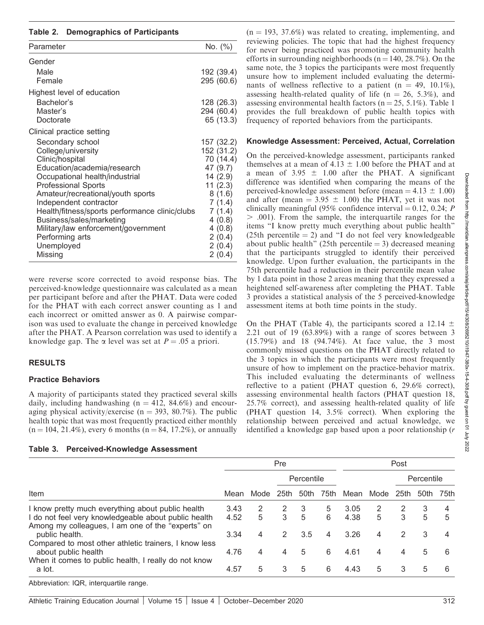#### Table 2. Demographics of Participants

| Parameter                                                    | No. (%)            |
|--------------------------------------------------------------|--------------------|
| Gender                                                       |                    |
| Male                                                         | 192 (39.4)         |
| Female                                                       | 295 (60.6)         |
| Highest level of education                                   |                    |
| Bachelor's                                                   | 128 (26.3)         |
| Master's                                                     | 294 (60.4)         |
| Doctorate                                                    | 65 (13.3)          |
| Clinical practice setting                                    |                    |
| Secondary school                                             | 157 (32.2)         |
| College/university                                           | 152 (31.2)         |
| Clinic/hospital                                              | 70 (14.4)          |
| Education/academia/research                                  | 47 (9.7)           |
| Occupational health/industrial<br><b>Professional Sports</b> | 14(2.9)<br>11(2.3) |
| Amateur/recreational/youth sports                            | 8(1.6)             |
| Independent contractor                                       | 7(1.4)             |
| Health/fitness/sports performance clinic/clubs               | 7(1.4)             |
| Business/sales/marketing                                     | 4(0.8)             |
| Military/law enforcement/government                          | 4(0.8)             |
| Performing arts                                              | 2(0.4)             |
| Unemployed                                                   | 2(0.4)             |
| Missing                                                      | 2(0.4)             |

were reverse score corrected to avoid response bias. The perceived-knowledge questionnaire was calculated as a mean per participant before and after the PHAT. Data were coded for the PHAT with each correct answer counting as 1 and each incorrect or omitted answer as 0. A pairwise comparison was used to evaluate the change in perceived knowledge after the PHAT. A Pearson correlation was used to identify a knowledge gap. The  $\alpha$  level was set at  $P = .05$  a priori.

## RESULTS

#### Practice Behaviors

A majority of participants stated they practiced several skills daily, including handwashing ( $n = 412, 84.6\%$ ) and encouraging physical activity/exercise ( $n = 393, 80.7\%$ ). The public health topic that was most frequently practiced either monthly  $(n = 104, 21.4\%)$ , every 6 months  $(n = 84, 17.2\%)$ , or annually

Table 3. Perceived-Knowledge Assessment

 $(n = 193, 37.6%)$  was related to creating, implementing, and reviewing policies. The topic that had the highest frequency for never being practiced was promoting community health efforts in surrounding neighborhoods ( $n = 140, 28.7\%$ ). On the same note, the 3 topics the participants were most frequently unsure how to implement included evaluating the determinants of wellness reflective to a patient ( $n = 49, 10.1\%$ ), assessing health-related quality of life ( $n = 26$ , 5.3%), and assessing environmental health factors ( $n = 25, 5.1\%$ ). Table 1 provides the full breakdown of public health topics with frequency of reported behaviors from the participants.

#### Knowledge Assessment: Perceived, Actual, Correlation

On the perceived-knowledge assessment, participants ranked themselves at a mean of 4.13  $\pm$  1.00 before the PHAT and at a mean of  $3.95 \pm 1.00$  after the PHAT. A significant difference was identified when comparing the means of the perceived-knowledge assessment before (mean  $= 4.13 \pm 1.00$ ) and after (mean =  $3.95 \pm 1.00$ ) the PHAT, yet it was not clinically meaningful (95% confidence interval  $= 0.12, 0.24; P$ . .001). From the sample, the interquartile ranges for the items ''I know pretty much everything about public health'' (25th percentile  $= 2$ ) and "I do not feel very knowledgeable about public health" (25th percentile  $=$  3) decreased meaning that the participants struggled to identify their perceived knowledge. Upon further evaluation, the participants in the 75th percentile had a reduction in their percentile mean value by 1 data point in those 2 areas meaning that they expressed a heightened self-awareness after completing the PHAT. Table 3 provides a statistical analysis of the 5 perceived-knowledge assessment items at both time points in the study.

On the PHAT (Table 4), the participants scored a 12.14  $\pm$ 2.21 out of 19 (63.89%) with a range of scores between 3 (15.79%) and 18 (94.74%). At face value, the 3 most commonly missed questions on the PHAT directly related to the 3 topics in which the participants were most frequently unsure of how to implement on the practice-behavior matrix. This included evaluating the determinants of wellness reflective to a patient (PHAT question 6, 29.6% correct), assessing environmental health factors (PHAT question 18, 25.7% correct), and assessing health-related quality of life (PHAT question 14, 3.5% correct). When exploring the relationship between perceived and actual knowledge, we identified a knowledge gap based upon a poor relationship (r

Downloaded from http://meridian.allenpress.com/atel/article-pdf15/4/308/2695210/1947-380x-15-4-308.pdf by guest on 01 July 2022 Downloaded from http://meridian.allenpress.com/atej/article-pdf/15/4/308/2695210/i1947-380x-15-4-308.pdf by guest on 01 July 2022

|                                                                                                           | Pre  |      |              |      |      | Post |      |      |            |             |
|-----------------------------------------------------------------------------------------------------------|------|------|--------------|------|------|------|------|------|------------|-------------|
|                                                                                                           |      |      | Percentile   |      |      |      |      |      | Percentile |             |
| Item                                                                                                      | Mean | Mode | 25th         | 50th | 75th | Mean | Mode | 25th | 50th       | 75th        |
| I know pretty much everything about public health                                                         | 3.43 |      |              |      | 5    | 3.05 |      |      |            |             |
| I do not feel very knowledgeable about public health<br>Among my colleagues, I am one of the "experts" on | 4.52 | 5    | $\mathbf{3}$ | 5    | 6    | 4.38 | 5    | 3    | 5          | $5^{\circ}$ |
| public health.                                                                                            | 3.34 | 4    | 2            | 3.5  | 4    | 3.26 | 4    | 2    | 3          | 4           |
| Compared to most other athletic trainers, I know less<br>about public health                              | 4.76 | 4    | 4            | 5    | 6    | 4.61 | 4    | 4    | 5          | 6           |
| When it comes to public health, I really do not know<br>a lot.                                            | 4.57 | 5    | 3            | 5    | 6    | 4.43 | 5    | 3    | 5          | 6           |

Abbreviation: IQR, interquartile range.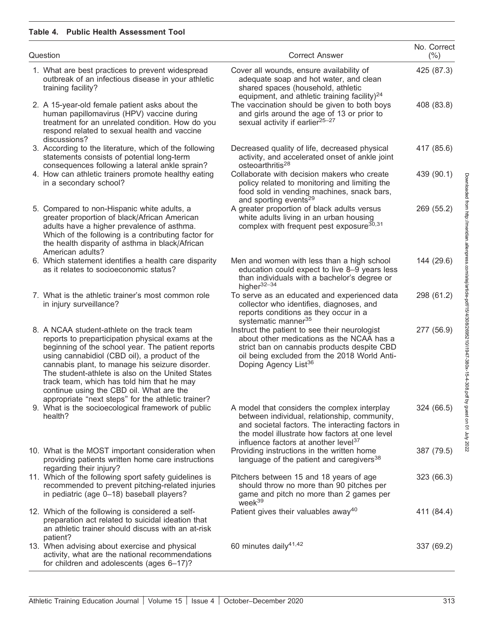#### Table 4. Public Health Assessment Tool

| Question                                                                                                                                                                                                                                                                                                                                                                                                                                                      | <b>Correct Answer</b>                                                                                                                                                                                                                                 | No. Correct<br>(% ) |
|---------------------------------------------------------------------------------------------------------------------------------------------------------------------------------------------------------------------------------------------------------------------------------------------------------------------------------------------------------------------------------------------------------------------------------------------------------------|-------------------------------------------------------------------------------------------------------------------------------------------------------------------------------------------------------------------------------------------------------|---------------------|
| 1. What are best practices to prevent widespread<br>outbreak of an infectious disease in your athletic<br>training facility?                                                                                                                                                                                                                                                                                                                                  | Cover all wounds, ensure availability of<br>adequate soap and hot water, and clean<br>shared spaces (household, athletic<br>equipment, and athletic training facility) $^{24}$                                                                        | 425 (87.3)          |
| 2. A 15-year-old female patient asks about the<br>human papillomavirus (HPV) vaccine during<br>treatment for an unrelated condition. How do you<br>respond related to sexual health and vaccine<br>discussions?                                                                                                                                                                                                                                               | The vaccination should be given to both boys<br>and girls around the age of 13 or prior to<br>sexual activity if earlier <sup>25-27</sup>                                                                                                             | 408 (83.8)          |
| 3. According to the literature, which of the following<br>statements consists of potential long-term<br>consequences following a lateral ankle sprain?                                                                                                                                                                                                                                                                                                        | Decreased quality of life, decreased physical<br>activity, and accelerated onset of ankle joint<br>osteoarthritis <sup>28</sup>                                                                                                                       | 417 (85.6)          |
| 4. How can athletic trainers promote healthy eating<br>in a secondary school?                                                                                                                                                                                                                                                                                                                                                                                 | Collaborate with decision makers who create<br>policy related to monitoring and limiting the<br>food sold in vending machines, snack bars,<br>and sporting events <sup>29</sup>                                                                       | 439 (90.1)          |
| 5. Compared to non-Hispanic white adults, a<br>greater proportion of black/African American<br>adults have a higher prevalence of asthma.<br>Which of the following is a contributing factor for<br>the health disparity of asthma in black/African<br>American adults?                                                                                                                                                                                       | A greater proportion of black adults versus<br>white adults living in an urban housing<br>complex with frequent pest exposure <sup>30,31</sup>                                                                                                        | 269 (55.2)          |
| 6. Which statement identifies a health care disparity<br>as it relates to socioeconomic status?                                                                                                                                                                                                                                                                                                                                                               | Men and women with less than a high school<br>education could expect to live 8-9 years less<br>than individuals with a bachelor's degree or<br>higher <sup>32-34</sup>                                                                                | 144 (29.6)          |
| 7. What is the athletic trainer's most common role<br>in injury surveillance?                                                                                                                                                                                                                                                                                                                                                                                 | To serve as an educated and experienced data<br>collector who identifies, diagnoses, and<br>reports conditions as they occur in a<br>systematic manner <sup>35</sup>                                                                                  | 298 (61.2)          |
| 8. A NCAA student-athlete on the track team<br>reports to preparticipation physical exams at the<br>beginning of the school year. The patient reports<br>using cannabidiol (CBD oil), a product of the<br>cannabis plant, to manage his seizure disorder.<br>The student-athlete is also on the United States<br>track team, which has told him that he may<br>continue using the CBD oil. What are the<br>appropriate "next steps" for the athletic trainer? | Instruct the patient to see their neurologist<br>about other medications as the NCAA has a<br>strict ban on cannabis products despite CBD<br>oil being excluded from the 2018 World Anti-<br>Doping Agency List <sup>36</sup>                         | 277 (56.9)          |
| 9. What is the socioecological framework of public<br>health?                                                                                                                                                                                                                                                                                                                                                                                                 | A model that considers the complex interplay<br>between individual, relationship, community,<br>and societal factors. The interacting factors in<br>the model illustrate how factors at one level<br>influence factors at another level <sup>37</sup> | 324 (66.5)          |
| 10. What is the MOST important consideration when<br>providing patients written home care instructions<br>regarding their injury?                                                                                                                                                                                                                                                                                                                             | Providing instructions in the written home<br>language of the patient and caregivers <sup>38</sup>                                                                                                                                                    | 387 (79.5)          |
| 11. Which of the following sport safety guidelines is<br>recommended to prevent pitching-related injuries<br>in pediatric (age 0-18) baseball players?                                                                                                                                                                                                                                                                                                        | Pitchers between 15 and 18 years of age<br>should throw no more than 90 pitches per<br>game and pitch no more than 2 games per<br>week <sup>39</sup>                                                                                                  | 323 (66.3)          |
| 12. Which of the following is considered a self-<br>preparation act related to suicidal ideation that<br>an athletic trainer should discuss with an at-risk<br>patient?                                                                                                                                                                                                                                                                                       | Patient gives their valuables away <sup>40</sup>                                                                                                                                                                                                      | 411 (84.4)          |
| 13. When advising about exercise and physical<br>activity, what are the national recommendations<br>for children and adolescents (ages 6-17)?                                                                                                                                                                                                                                                                                                                 | 60 minutes daily <sup>41,42</sup>                                                                                                                                                                                                                     | 337 (69.2)          |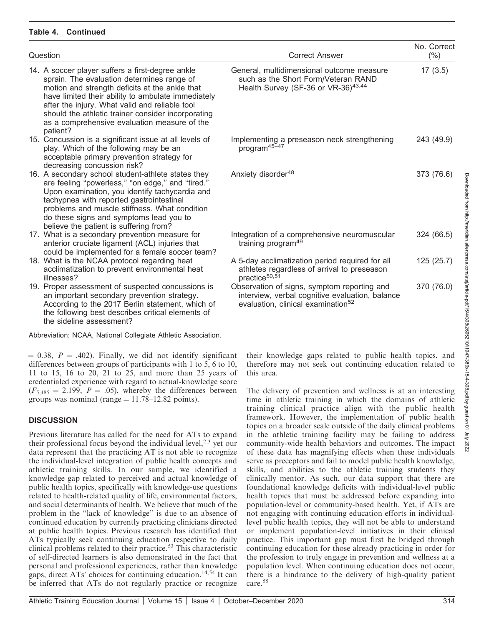### Table 4. Continued

| Question |                                                                                                                                                                                                                                                                                                                                                                            | <b>Correct Answer</b>                                                                                                                            | No. Correct<br>(% ) |  |
|----------|----------------------------------------------------------------------------------------------------------------------------------------------------------------------------------------------------------------------------------------------------------------------------------------------------------------------------------------------------------------------------|--------------------------------------------------------------------------------------------------------------------------------------------------|---------------------|--|
|          | 14. A soccer player suffers a first-degree ankle<br>sprain. The evaluation determines range of<br>motion and strength deficits at the ankle that<br>have limited their ability to ambulate immediately<br>after the injury. What valid and reliable tool<br>should the athletic trainer consider incorporating<br>as a comprehensive evaluation measure of the<br>patient? | General, multidimensional outcome measure<br>such as the Short Form/Veteran RAND<br>Health Survey (SF-36 or VR-36) <sup>43,44</sup>              | 17(3.5)             |  |
|          | 15. Concussion is a significant issue at all levels of<br>play. Which of the following may be an<br>acceptable primary prevention strategy for<br>decreasing concussion risk?                                                                                                                                                                                              | Implementing a preseason neck strengthening<br>program <sup>45-47</sup>                                                                          | 243 (49.9)          |  |
|          | 16. A secondary school student-athlete states they<br>are feeling "powerless," "on edge," and "tired."<br>Upon examination, you identify tachycardia and<br>tachypnea with reported gastrointestinal<br>problems and muscle stiffness. What condition<br>do these signs and symptoms lead you to<br>believe the patient is suffering from?                                 | Anxiety disorder <sup>48</sup>                                                                                                                   | 373 (76.6)          |  |
|          | 17. What is a secondary prevention measure for<br>anterior cruciate ligament (ACL) injuries that<br>could be implemented for a female soccer team?                                                                                                                                                                                                                         | Integration of a comprehensive neuromuscular<br>training program <sup>49</sup>                                                                   | 324 (66.5)          |  |
|          | 18. What is the NCAA protocol regarding heat<br>acclimatization to prevent environmental heat<br>illnesses?                                                                                                                                                                                                                                                                | A 5-day acclimatization period required for all<br>athletes regardless of arrival to preseason<br>practice <sup>50,51</sup>                      | 125(25.7)           |  |
|          | 19. Proper assessment of suspected concussions is<br>an important secondary prevention strategy.<br>According to the 2017 Berlin statement, which of<br>the following best describes critical elements of<br>the sideline assessment?                                                                                                                                      | Observation of signs, symptom reporting and<br>interview, verbal cognitive evaluation, balance<br>evaluation, clinical examination <sup>52</sup> | 370 (76.0)          |  |

Abbreviation: NCAA, National Collegiate Athletic Association.

 $= 0.38$ ,  $P = .402$ ). Finally, we did not identify significant differences between groups of participants with 1 to 5, 6 to 10, 11 to 15, 16 to 20, 21 to 25, and more than 25 years of credentialed experience with regard to actual-knowledge score  $(F_{5,485} = 2.199, P = .05)$ , whereby the differences between groups was nominal (range  $= 11.78 - 12.82$  points).

## **DISCUSSION**

Previous literature has called for the need for ATs to expand their professional focus beyond the individual level, $2,3$  yet our data represent that the practicing AT is not able to recognize the individual-level integration of public health concepts and athletic training skills. In our sample, we identified a knowledge gap related to perceived and actual knowledge of public health topics, specifically with knowledge-use questions related to health-related quality of life, environmental factors, and social determinants of health. We believe that much of the problem in the ''lack of knowledge'' is due to an absence of continued education by currently practicing clinicians directed at public health topics. Previous research has identified that ATs typically seek continuing education respective to daily clinical problems related to their practice.53 This characteristic of self-directed learners is also demonstrated in the fact that personal and professional experiences, rather than knowledge gaps, direct ATs' choices for continuing education.<sup>14,54</sup> It can be inferred that ATs do not regularly practice or recognize

their knowledge gaps related to public health topics, and therefore may not seek out continuing education related to this area.

The delivery of prevention and wellness is at an interesting time in athletic training in which the domains of athletic training clinical practice align with the public health framework. However, the implementation of public health topics on a broader scale outside of the daily clinical problems in the athletic training facility may be failing to address community-wide health behaviors and outcomes. The impact of these data has magnifying effects when these individuals serve as preceptors and fail to model public health knowledge, skills, and abilities to the athletic training students they clinically mentor. As such, our data support that there are foundational knowledge deficits with individual-level public health topics that must be addressed before expanding into population-level or community-based health. Yet, if ATs are not engaging with continuing education efforts in individuallevel public health topics, they will not be able to understand or implement population-level initiatives in their clinical practice. This important gap must first be bridged through continuing education for those already practicing in order for the profession to truly engage in prevention and wellness at a population level. When continuing education does not occur, there is a hindrance to the delivery of high-quality patient care.<sup>55</sup>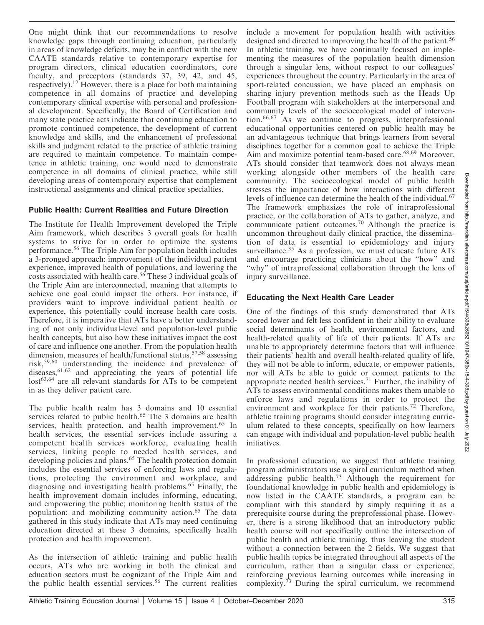One might think that our recommendations to resolve knowledge gaps through continuing education, particularly in areas of knowledge deficits, may be in conflict with the new CAATE standards relative to contemporary expertise for program directors, clinical education coordinators, core faculty, and preceptors (standards 37, 39, 42, and 45, respectively).<sup>12</sup> However, there is a place for both maintaining competence in all domains of practice and developing contemporary clinical expertise with personal and professional development. Specifically, the Board of Certification and many state practice acts indicate that continuing education to promote continued competence, the development of current knowledge and skills, and the enhancement of professional skills and judgment related to the practice of athletic training are required to maintain competence. To maintain competence in athletic training, one would need to demonstrate competence in all domains of clinical practice, while still developing areas of contemporary expertise that complement instructional assignments and clinical practice specialties.

#### Public Health: Current Realities and Future Direction

The Institute for Health Improvement developed the Triple Aim framework, which describes 3 overall goals for health systems to strive for in order to optimize the systems performance.<sup>56</sup> The Triple Aim for population health includes a 3-pronged approach: improvement of the individual patient experience, improved health of populations, and lowering the costs associated with health care.<sup>56</sup> These 3 individual goals of the Triple Aim are interconnected, meaning that attempts to achieve one goal could impact the others. For instance, if providers want to improve individual patient health or experience, this potentially could increase health care costs. Therefore, it is imperative that ATs have a better understanding of not only individual-level and population-level public health concepts, but also how these initiatives impact the cost of care and influence one another. From the population health dimension, measures of health/functional status, $57,58$  assessing risk,59,60 understanding the incidence and prevalence of diseases,  $61,62$  and appreciating the years of potential life lost<sup>63,64</sup> are all relevant standards for ATs to be competent in as they deliver patient care.

The public health realm has 3 domains and 10 essential services related to public health.<sup>65</sup> The 3 domains are health services, health protection, and health improvement.<sup>65</sup> In health services, the essential services include assuring a competent health services workforce, evaluating health services, linking people to needed health services, and developing policies and plans.<sup>65</sup> The health protection domain includes the essential services of enforcing laws and regulations, protecting the environment and workplace, and diagnosing and investigating health problems.<sup>65</sup> Finally, the health improvement domain includes informing, educating, and empowering the public; monitoring health status of the population; and mobilizing community action.<sup>65</sup> The data gathered in this study indicate that ATs may need continuing education directed at these 3 domains, specifically health protection and health improvement.

As the intersection of athletic training and public health occurs, ATs who are working in both the clinical and education sectors must be cognizant of the Triple Aim and the public health essential services.<sup>56</sup> The current realities include a movement for population health with activities designed and directed to improving the health of the patient.<sup>56</sup> In athletic training, we have continually focused on implementing the measures of the population health dimension through a singular lens, without respect to our colleagues' experiences throughout the country. Particularly in the area of sport-related concussion, we have placed an emphasis on sharing injury prevention methods such as the Heads Up Football program with stakeholders at the interpersonal and community levels of the socioecological model of intervention.66,67 As we continue to progress, interprofessional educational opportunities centered on public health may be an advantageous technique that brings learners from several disciplines together for a common goal to achieve the Triple Aim and maximize potential team-based care.<sup>68,69</sup> Moreover, ATs should consider that teamwork does not always mean working alongside other members of the health care community. The socioecological model of public health stresses the importance of how interactions with different levels of influence can determine the health of the individual.<sup>67</sup> The framework emphasizes the role of intraprofessional practice, or the collaboration of ATs to gather, analyze, and communicate patient outcomes.<sup>70</sup> Although the practice is uncommon throughout daily clinical practice, the dissemination of data is essential to epidemiology and injury surveillance.<sup>35</sup> As a profession, we must educate future ATs and encourage practicing clinicians about the ''how'' and "why" of intraprofessional collaboration through the lens of injury surveillance.

## Educating the Next Health Care Leader

One of the findings of this study demonstrated that ATs scored lower and felt less confident in their ability to evaluate social determinants of health, environmental factors, and health-related quality of life of their patients. If ATs are unable to appropriately determine factors that will influence their patients' health and overall health-related quality of life, they will not be able to inform, educate, or empower patients, nor will ATs be able to guide or connect patients to the appropriate needed health services.<sup>71</sup> Further, the inability of ATs to assess environmental conditions makes them unable to enforce laws and regulations in order to protect the environment and workplace for their patients.<sup>72</sup> Therefore, athletic training programs should consider integrating curriculum related to these concepts, specifically on how learners can engage with individual and population-level public health initiatives.

In professional education, we suggest that athletic training program administrators use a spiral curriculum method when addressing public health.<sup>73</sup> Although the requirement for foundational knowledge in public health and epidemiology is now listed in the CAATE standards, a program can be compliant with this standard by simply requiring it as a prerequisite course during the preprofessional phase. However, there is a strong likelihood that an introductory public health course will not specifically outline the intersection of public health and athletic training, thus leaving the student without a connection between the 2 fields. We suggest that public health topics be integrated throughout all aspects of the curriculum, rather than a singular class or experience, reinforcing previous learning outcomes while increasing in complexity.<sup>73</sup> During the spiral curriculum, we recommend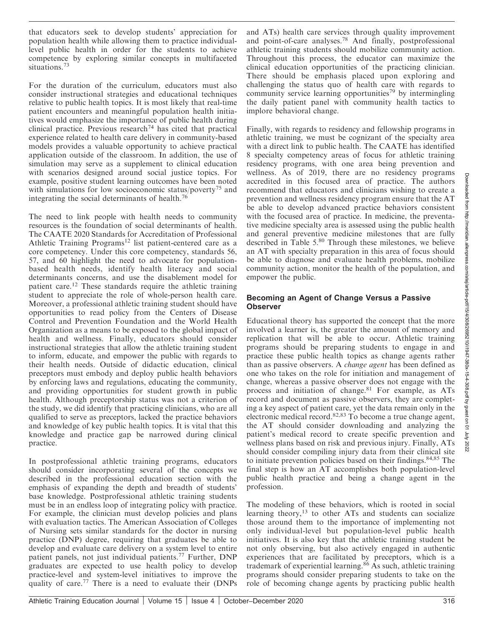Downloaded from http://meridian.allenpress.com/atej/article-pdf/15/4/308/2695210/11947-380x-15-4-308.pdf by guest on 01 July Downloaded from http://meridian.allenpress.com/atej/article-pdf/15/4/308/2695210/i1947-380x-15-4-308.pdf by guest on 01 July 2022

that educators seek to develop students' appreciation for population health while allowing them to practice individuallevel public health in order for the students to achieve competence by exploring similar concepts in multifaceted situations.<sup>73</sup>

For the duration of the curriculum, educators must also consider instructional strategies and educational techniques relative to public health topics. It is most likely that real-time patient encounters and meaningful population health initiatives would emphasize the importance of public health during clinical practice. Previous research<sup>74</sup> has cited that practical experience related to health care delivery in community-based models provides a valuable opportunity to achieve practical application outside of the classroom. In addition, the use of simulation may serve as a supplement to clinical education with scenarios designed around social justice topics. For example, positive student learning outcomes have been noted with simulations for low socioeconomic status/poverty<sup>75</sup> and integrating the social determinants of health.<sup>76</sup>

The need to link people with health needs to community resources is the foundation of social determinants of health. The CAATE 2020 Standards for Accreditation of Professional Athletic Training Programs<sup>12</sup> list patient-centered care as a core competency. Under this core competency, standards 56, 57, and 60 highlight the need to advocate for populationbased health needs, identify health literacy and social determinants concerns, and use the disablement model for patient care.<sup>12</sup> These standards require the athletic training student to appreciate the role of whole-person health care. Moreover, a professional athletic training student should have opportunities to read policy from the Centers of Disease Control and Prevention Foundation and the World Health Organization as a means to be exposed to the global impact of health and wellness. Finally, educators should consider instructional strategies that allow the athletic training student to inform, educate, and empower the public with regards to their health needs. Outside of didactic education, clinical preceptors must embody and deploy public health behaviors by enforcing laws and regulations, educating the community, and providing opportunities for student growth in public health. Although preceptorship status was not a criterion of the study, we did identify that practicing clinicians, who are all qualified to serve as preceptors, lacked the practice behaviors and knowledge of key public health topics. It is vital that this knowledge and practice gap be narrowed during clinical practice.

In postprofessional athletic training programs, educators should consider incorporating several of the concepts we described in the professional education section with the emphasis of expanding the depth and breadth of students' base knowledge. Postprofessional athletic training students must be in an endless loop of integrating policy with practice. For example, the clinician must develop policies and plans with evaluation tactics. The American Association of Colleges of Nursing sets similar standards for the doctor in nursing practice (DNP) degree, requiring that graduates be able to develop and evaluate care delivery on a system level to entire patient panels, not just individual patients.<sup>77</sup> Further, DNP graduates are expected to use health policy to develop practice-level and system-level initiatives to improve the quality of care.<sup>77</sup> There is a need to evaluate their (DNPs

and ATs) health care services through quality improvement and point-of-care analyses.<sup>78</sup> And finally, postprofessional athletic training students should mobilize community action. Throughout this process, the educator can maximize the clinical education opportunities of the practicing clinician. There should be emphasis placed upon exploring and challenging the status quo of health care with regards to community service learning opportunities<sup>79</sup> by intermingling the daily patient panel with community health tactics to implore behavioral change.

Finally, with regards to residency and fellowship programs in athletic training, we must be cognizant of the specialty area with a direct link to public health. The CAATE has identified 8 specialty competency areas of focus for athletic training residency programs, with one area being prevention and wellness. As of 2019, there are no residency programs accredited in this focused area of practice. The authors recommend that educators and clinicians wishing to create a prevention and wellness residency program ensure that the AT be able to develop advanced practice behaviors consistent with the focused area of practice. In medicine, the preventative medicine specialty area is assessed using the public health and general preventive medicine milestones that are fully described in Table 5.<sup>80</sup> Through these milestones, we believe an AT with specialty preparation in this area of focus should be able to diagnose and evaluate health problems, mobilize community action, monitor the health of the population, and empower the public.

#### Becoming an Agent of Change Versus a Passive **Observer**

Educational theory has supported the concept that the more involved a learner is, the greater the amount of memory and replication that will be able to occur. Athletic training programs should be preparing students to engage in and practice these public health topics as change agents rather than as passive observers. A change agent has been defined as one who takes on the role for initiation and management of change, whereas a passive observer does not engage with the process and initiation of change.<sup>81</sup> For example, as ATs record and document as passive observers, they are completing a key aspect of patient care, yet the data remain only in the electronic medical record.82,83 To become a true change agent, the AT should consider downloading and analyzing the patient's medical record to create specific prevention and wellness plans based on risk and previous injury. Finally, ATs should consider compiling injury data from their clinical site to initiate prevention policies based on their findings.84,85 The final step is how an AT accomplishes both population-level public health practice and being a change agent in the profession.

The modeling of these behaviors, which is rooted in social learning theory,<sup>13</sup> to other ATs and students can socialize those around them to the importance of implementing not only individual-level but population-level public health initiatives. It is also key that the athletic training student be not only observing, but also actively engaged in authentic experiences that are facilitated by preceptors, which is a trademark of experiential learning.<sup>86</sup> As such, athletic training programs should consider preparing students to take on the role of becoming change agents by practicing public health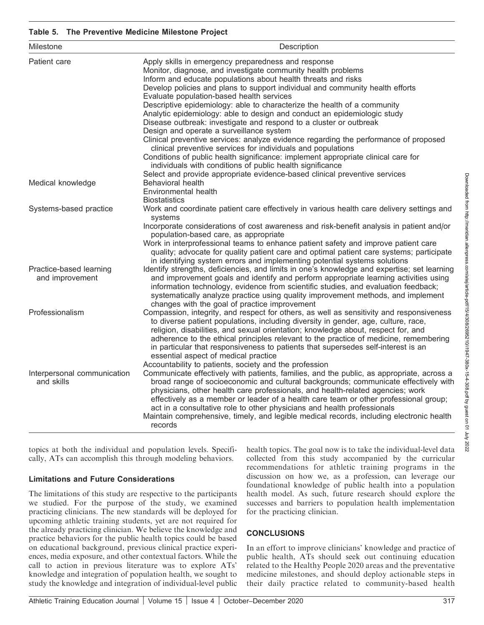### Table 5. The Preventive Medicine Milestone Project

| Milestone                                  | Description                                                                                                                                                                                                                                                                                                                                                                                                                                                                                                                                                                                                                                                                                                                                                                                                                                                                                                                                                                          |
|--------------------------------------------|--------------------------------------------------------------------------------------------------------------------------------------------------------------------------------------------------------------------------------------------------------------------------------------------------------------------------------------------------------------------------------------------------------------------------------------------------------------------------------------------------------------------------------------------------------------------------------------------------------------------------------------------------------------------------------------------------------------------------------------------------------------------------------------------------------------------------------------------------------------------------------------------------------------------------------------------------------------------------------------|
| Patient care                               | Apply skills in emergency preparedness and response<br>Monitor, diagnose, and investigate community health problems<br>Inform and educate populations about health threats and risks<br>Develop policies and plans to support individual and community health efforts<br>Evaluate population-based health services<br>Descriptive epidemiology: able to characterize the health of a community<br>Analytic epidemiology: able to design and conduct an epidemiologic study<br>Disease outbreak: investigate and respond to a cluster or outbreak<br>Design and operate a surveillance system<br>Clinical preventive services: analyze evidence regarding the performance of proposed<br>clinical preventive services for individuals and populations<br>Conditions of public health significance: implement appropriate clinical care for<br>individuals with conditions of public health significance<br>Select and provide appropriate evidence-based clinical preventive services |
| Medical knowledge                          | Behavioral health<br>Environmental health<br><b>Biostatistics</b>                                                                                                                                                                                                                                                                                                                                                                                                                                                                                                                                                                                                                                                                                                                                                                                                                                                                                                                    |
| Systems-based practice                     | Work and coordinate patient care effectively in various health care delivery settings and<br>systems<br>Incorporate considerations of cost awareness and risk-benefit analysis in patient and/or<br>population-based care, as appropriate<br>Work in interprofessional teams to enhance patient safety and improve patient care<br>quality; advocate for quality patient care and optimal patient care systems; participate<br>in identifying system errors and implementing potential systems solutions                                                                                                                                                                                                                                                                                                                                                                                                                                                                             |
| Practice-based learning<br>and improvement | Identify strengths, deficiencies, and limits in one's knowledge and expertise; set learning<br>and improvement goals and identify and perform appropriate learning activities using<br>information technology, evidence from scientific studies, and evaluation feedback;<br>systematically analyze practice using quality improvement methods, and implement<br>changes with the goal of practice improvement                                                                                                                                                                                                                                                                                                                                                                                                                                                                                                                                                                       |
| Professionalism                            | Compassion, integrity, and respect for others, as well as sensitivity and responsiveness<br>to diverse patient populations, including diversity in gender, age, culture, race,<br>religion, disabilities, and sexual orientation; knowledge about, respect for, and<br>adherence to the ethical principles relevant to the practice of medicine, remembering<br>in particular that responsiveness to patients that supersedes self-interest is an<br>essential aspect of medical practice<br>Accountability to patients, society and the profession                                                                                                                                                                                                                                                                                                                                                                                                                                  |
| Interpersonal communication<br>and skills  | Communicate effectively with patients, families, and the public, as appropriate, across a<br>broad range of socioeconomic and cultural backgrounds; communicate effectively with<br>physicians, other health care professionals, and health-related agencies; work<br>effectively as a member or leader of a health care team or other professional group;<br>act in a consultative role to other physicians and health professionals<br>Maintain comprehensive, timely, and legible medical records, including electronic health<br>records                                                                                                                                                                                                                                                                                                                                                                                                                                         |

topics at both the individual and population levels. Specifically, ATs can accomplish this through modeling behaviors.

## Limitations and Future Considerations

The limitations of this study are respective to the participants we studied. For the purpose of the study, we examined practicing clinicians. The new standards will be deployed for upcoming athletic training students, yet are not required for the already practicing clinician. We believe the knowledge and practice behaviors for the public health topics could be based on educational background, previous clinical practice experiences, media exposure, and other contextual factors. While the call to action in previous literature was to explore ATs' knowledge and integration of population health, we sought to study the knowledge and integration of individual-level public health topics. The goal now is to take the individual-level data collected from this study accompanied by the curricular recommendations for athletic training programs in the discussion on how we, as a profession, can leverage our foundational knowledge of public health into a population health model. As such, future research should explore the successes and barriers to population health implementation for the practicing clinician.

## **CONCLUSIONS**

In an effort to improve clinicians' knowledge and practice of public health, ATs should seek out continuing education related to the Healthy People 2020 areas and the preventative medicine milestones, and should deploy actionable steps in their daily practice related to community-based health

Downloaded from http://meridian.allenpress.com/atej/article-pdf/15/4/308/2695210/1947-380x-15-4-308.pdf by guest on 01 July 2022 Downloaded from http://meridian.allenpress.com/atej/article-pdf/15/4/308/2695210/i1947-380x-15-4-308.pdf by guest on 01 July 2022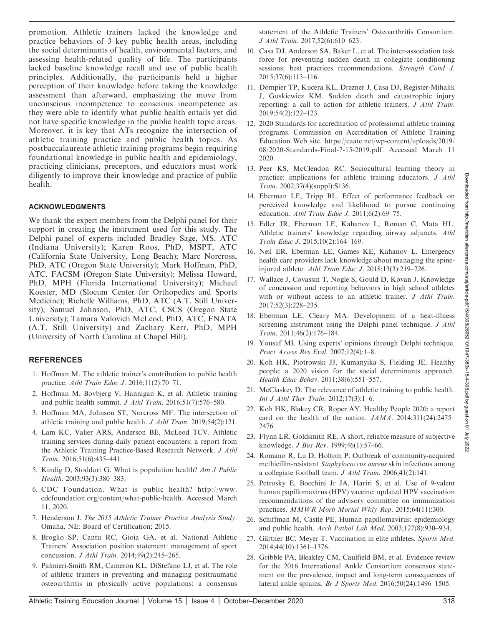promotion. Athletic trainers lacked the knowledge and practice behaviors of 3 key public health areas, including the social determinants of health, environmental factors, and assessing health-related quality of life. The participants lacked baseline knowledge recall and use of public health principles. Additionally, the participants held a higher perception of their knowledge before taking the knowledge assessment than afterward, emphasizing the move from unconscious incompetence to conscious incompetence as they were able to identify what public health entails yet did not have specific knowledge in the public health topic areas. Moreover, it is key that ATs recognize the intersection of athletic training practice and public health topics. As postbaccalaureate athletic training programs begin requiring foundational knowledge in public health and epidemiology, practicing clinicians, preceptors, and educators must work diligently to improve their knowledge and practice of public health.

#### ACKNOWLEDGMENTS

We thank the expert members from the Delphi panel for their support in creating the instrument used for this study. The Delphi panel of experts included Bradley Sage, MS, ATC (Indiana University); Karen Roos, PhD, MSPT, ATC (California State University, Long Beach); Marc Norcross, PhD, ATC (Oregon State University); Mark Hoffman, PhD, ATC, FACSM (Oregon State University); Melissa Howard, PhD, MPH (Florida International University); Michael Koester, MD (Slocum Center for Orthopedics and Sports Medicine); Richelle Williams, PhD, ATC (A.T. Still University); Samuel Johnson, PhD, ATC, CSCS (Oregon State University); Tamara Valovich McLeod, PhD, ATC, FNATA (A.T. Still University) and Zachary Kerr, PhD, MPH (University of North Carolina at Chapel Hill).

#### REFERENCES

- 1. Hoffman M. The athletic trainer's contribution to public health practice. Athl Train Educ J. 2016;11(2):70–71.
- 2. Hoffman M, Bovbjerg V, Hannigan K, et al. Athletic training and public health summit. J Athl Train. 2016;51(7):576–580.
- 3. Hoffman MA, Johnson ST, Norcross MF. The intersection of athletic training and public health. J Athl Train. 2019;54(2):121.
- 4. Lam KC, Valier ARS, Anderson BE, McLeod TCV. Athletic training services during daily patient encounters: a report from the Athletic Training Practice-Based Research Network. J Athl Train. 2016;51(6):435–441.
- 5. Kindig D, Stoddart G. What is population health? Am J Public Health. 2003;93(3):380–383.
- 6. CDC Foundation. What is public health? http://www. cdcfoundation.org/content/what-public-health. Accessed March 11, 2020.
- 7. Henderson J. The 2015 Athletic Trainer Practice Analysis Study. Omaha, NE: Board of Certification; 2015.
- 8. Broglio SP, Cantu RC, Gioia GA, et al. National Athletic Trainers' Association position statement: management of sport concussion. J Athl Train. 2014;49(2):245–265.
- 9. Palmieri-Smith RM, Cameron KL, DiStefano LJ, et al. The role of athletic trainers in preventing and managing posttraumatic osteoarthritis in physically active populations: a consensus

statement of the Athletic Trainers' Osteoarthritis Consortium. J Athl Train. 2017;52(6):610–623.

- 10. Casa DJ, Anderson SA, Baker L, et al. The inter-association task force for preventing sudden death in collegiate conditioning sessions: best practices recommendations. Strength Cond J. 2015;37(6):113–116.
- 11. Dompier TP, Kucera KL, Drezner J, Casa DJ, Register-Mihalik J, Guskiewicz KM. Sudden death and catastrophic injury reporting: a call to action for athletic trainers. J Athl Train. 2019;54(2):122–123.
- 12. 2020 Standards for accreditation of professional athletic training programs. Commission on Accreditation of Athletic Training Education Web site. https://caate.net/wp-content/uploads/2019/ 08/2020-Standards-Final-7-15-2019.pdf. Accessed March 11 2020.
- 13. Peer KS, McClendon RC. Sociocultural learning theory in practice: implications for athletic training educators. J Athl Train. 2002;37(4)(suppl):S136.
- 14. Eberman LE, Tripp BL. Effect of performance feedback on perceived knowledge and likelihood to pursue continuing education. Athl Train Educ J. 2011;6(2):69–75.
- 15. Edler JR, Eberman LE, Kahanov L, Roman C, Mata HL. Athletic trainers' knowledge regarding airway adjuncts. Athl Train Educ J. 2015;10(2):164–169.
- 16. Neil ER, Eberman LE, Games KE, Kahanov L. Emergency health care providers lack knowledge about managing the spineinjured athlete. Athl Train Educ J. 2018;13(3):219–226.
- 17. Wallace J, Covassin T, Nogle S, Gould D, Kovan J. Knowledge of concussion and reporting behaviors in high school athletes with or without access to an athletic trainer. *J Athl Train*. 2017;52(3):228–235.
- 18. Eberman LE, Cleary MA. Development of a heat-illness screening instrument using the Delphi panel technique. J Athl Train. 2011;46(2):176–184.
- 19. Yousuf MI. Using experts' opinions through Delphi technique. Pract Assess Res Eval. 2007;12(4):1–8.
- 20. Koh HK, Piotrowski JJ, Kumanyika S, Fielding JE. Healthy people: a 2020 vision for the social determinants approach. Health Educ Behav. 2011;38(6):551–557.
- 21. McClaskey D. The relevance of athletic training to public health. Int J Athl Ther Train. 2012;17(3):1–6.
- 22. Koh HK, Blakey CR, Roper AY. Healthy People 2020: a report card on the health of the nation. JAMA. 2014;311(24):2475– 2476.
- 23. Flynn LR, Goldsmith RE. A short, reliable measure of subjective knowledge. J Bus Rev. 1999;46(1):57–66.
- 24. Romano R, Lu D, Holtom P. Outbreak of community-acquired methicillin-resistant Staphylococcus aureus skin infections among a collegiate football team. J Athl Train. 2006;41(2):141.
- 25. Petrosky E, Bocchini Jr JA, Hariri S, et al. Use of 9-valent human papillomavirus (HPV) vaccine: updated HPV vaccination recommendations of the advisory committee on immunization practices. MMWR Morb Mortal Wkly Rep. 2015;64(11):300.
- 26. Schiffman M, Castle PE. Human papillomavirus: epidemiology and public health. Arch Pathol Lab Med. 2003;127(8):930–934.
- 27. Gärtner BC, Meyer T. Vaccination in elite athletes. Sports Med. 2014;44(10):1361–1376.
- 28. Gribble PA, Bleakley CM, Caulfield BM, et al. Evidence review for the 2016 International Ankle Consortium consensus statement on the prevalence, impact and long-term consequences of lateral ankle sprains. Br J Sports Med. 2016;50(24):1496–1505.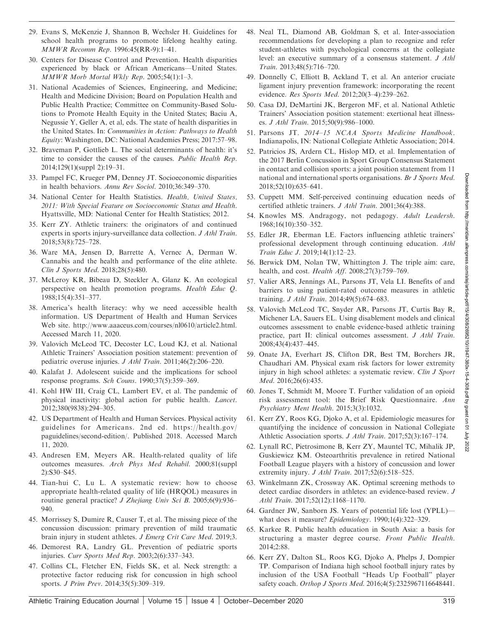- 29. Evans S, McKenzie J, Shannon B, Wechsler H. Guidelines for school health programs to promote lifelong healthy eating. MMWR Recomm Rep. 1996:45(RR-9):1–41.
- 30. Centers for Disease Control and Prevention. Health disparities experienced by black or African Americans—United States. MMWR Morb Mortal Wkly Rep. 2005;54(1):1–3.
- 31. National Academies of Sciences, Engineering, and Medicine; Health and Medicine Division; Board on Population Health and Public Health Practice; Committee on Community-Based Solutions to Promote Health Equity in the United States; Baciu A, Negussie Y, Geller A, et al, eds. The state of health disparities in the United States. In: Communities in Action: Pathways to Health Equity: Washington, DC: National Academies Press; 2017:57–98.
- 32. Braveman P, Gottlieb L. The social determinants of health: it's time to consider the causes of the causes. Public Health Rep. 2014;129(1)(suppl 2):19–31.
- 33. Pampel FC, Krueger PM, Denney JT. Socioeconomic disparities in health behaviors. Annu Rev Sociol. 2010;36:349–370.
- 34. National Center for Health Statistics. Health, United States, 2011: With Special Feature on Socioeconomic Status and Health. Hyattsville, MD: National Center for Health Statistics; 2012.
- 35. Kerr ZY. Athletic trainers: the originators of and continued experts in sports injury-surveillance data collection. J Athl Train. 2018;53(8):725–728.
- 36. Ware MA, Jensen D, Barrette A, Vernec A, Derman W. Cannabis and the health and performance of the elite athlete. Clin J Sports Med. 2018;28(5):480.
- 37. McLeroy KR, Bibeau D, Steckler A, Glanz K. An ecological perspective on health promotion programs. Health Educ Q. 1988;15(4):351–377.
- 38. America's health literacy: why we need accessible health information. US Department of Health and Human Services Web site. http://www.aaaceus.com/courses/nl0610/article2.html. Accessed March 11, 2020.
- 39. Valovich McLeod TC, Decoster LC, Loud KJ, et al. National Athletic Trainers' Association position statement: prevention of pediatric overuse injuries. J Athl Train. 2011;46(2):206–220.
- 40. Kalafat J. Adolescent suicide and the implications for school response programs. Sch Couns. 1990;37(5):359–369.
- 41. Kohl HW III, Craig CL, Lambert EV, et al. The pandemic of physical inactivity: global action for public health. Lancet. 2012;380(9838):294–305.
- 42. US Department of Health and Human Services. Physical activity guidelines for Americans. 2nd ed. https://health.gov/ paguidelines/second-edition/. Published 2018. Accessed March 11, 2020.
- 43. Andresen EM, Meyers AR. Health-related quality of life outcomes measures. Arch Phys Med Rehabil. 2000;81(suppl 2):S30–S45.
- 44. Tian-hui C, Lu L. A systematic review: how to choose appropriate health-related quality of life (HRQOL) measures in routine general practice? J Zhejiang Univ Sci B. 2005;6(9):936– 940.
- 45. Morrissey S, Dumire R, Causer T, et al. The missing piece of the concussion discussion: primary prevention of mild traumatic brain injury in student athletes. J Emerg Crit Care Med. 2019;3.
- 46. Demorest RA, Landry GL. Prevention of pediatric sports injuries. Curr Sports Med Rep. 2003;2(6):337–343.
- 47. Collins CL, Fletcher EN, Fields SK, et al. Neck strength: a protective factor reducing risk for concussion in high school sports. J Prim Prev. 2014;35(5):309–319.
- 48. Neal TL, Diamond AB, Goldman S, et al. Inter-association recommendations for developing a plan to recognize and refer student-athletes with psychological concerns at the collegiate level: an executive summary of a consensus statement. J Athl Train. 2013;48(5):716–720.
- 49. Donnelly C, Elliott B, Ackland T, et al. An anterior cruciate ligament injury prevention framework: incorporating the recent evidence. Res Sports Med. 2012;20(3–4):239–262.
- 50. Casa DJ, DeMartini JK, Bergeron MF, et al. National Athletic Trainers' Association position statement: exertional heat illnesses. J Athl Train. 2015;50(9):986–1000.
- 51. Parsons JT. 2014-15 NCAA Sports Medicine Handbook. Indianapolis, IN: National Collegiate Athletic Association; 2014.
- 52. Patricios JS, Ardern CL, Hislop MD, et al. Implementation of the 2017 Berlin Concussion in Sport Group Consensus Statement in contact and collision sports: a joint position statement from 11 national and international sports organisations. Br J Sports Med. 2018;52(10):635–641.
- 53. Cuppett MM. Self-perceived continuing education needs of certified athletic trainers. J Athl Train. 2001;36(4):388.
- 54. Knowles MS. Andragogy, not pedagogy. Adult Leadersh. 1968;16(10):350–352.
- 55. Edler JR, Eberman LE. Factors influencing athletic trainers' professional development through continuing education. Athl Train Educ J. 2019;14(1):12–23.
- 56. Berwick DM, Nolan TW, Whittington J. The triple aim: care, health, and cost. Health Aff. 2008;27(3):759–769.
- 57. Valier ARS, Jennings AL, Parsons JT, Vela LI. Benefits of and barriers to using patient-rated outcome measures in athletic training. J Athl Train. 2014;49(5):674–683.
- 58. Valovich McLeod TC, Snyder AR, Parsons JT, Curtis Bay R, Michener LA, Sauers EL. Using disablement models and clinical outcomes assessment to enable evidence-based athletic training practice, part II: clinical outcomes assessment. J Athl Train. 2008;43(4):437–445.
- 59. Onate JA, Everhart JS, Clifton DR, Best TM, Borchers JR, Chaudhari AM. Physical exam risk factors for lower extremity injury in high school athletes: a systematic review. Clin J Sport Med. 2016;26(6):435.
- 60. Jones T, Schmidt M, Moore T. Further validation of an opioid risk assessment tool: the Brief Risk Questionnaire. Ann Psychiatry Ment Health. 2015;3(3):1032.
- 61. Kerr ZY, Roos KG, Djoko A, et al. Epidemiologic measures for quantifying the incidence of concussion in National Collegiate Athletic Association sports. J Athl Train. 2017;52(3):167–174.
- 62. Lynall RC, Pietrosimone B, Kerr ZY, Mauntel TC, Mihalik JP, Guskiewicz KM. Osteoarthritis prevalence in retired National Football League players with a history of concussion and lower extremity injury.  $J$  Athl Train. 2017;52(6):518-525.
- 63. Winkelmann ZK, Crossway AK. Optimal screening methods to detect cardiac disorders in athletes: an evidence-based review. J Athl Train. 2017;52(12):1168–1170.
- 64. Gardner JW, Sanborn JS. Years of potential life lost (YPLL) what does it measure? Epidemiology. 1990;1(4):322–329.
- 65. Karkee R. Public health education in South Asia: a basis for structuring a master degree course. Front Public Health. 2014;2:88.
- 66. Kerr ZY, Dalton SL, Roos KG, Djoko A, Phelps J, Dompier TP. Comparison of Indiana high school football injury rates by inclusion of the USA Football ''Heads Up Football'' player safety coach. Orthop J Sports Med. 2016;4(5):2325967116648441.